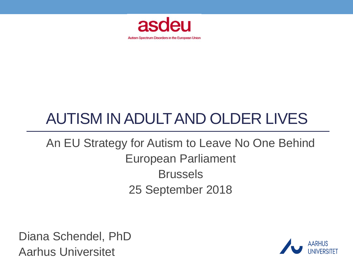

## AUTISM IN ADULTAND OLDER LIVES

### An EU Strategy for Autism to Leave No One Behind European Parliament Brussels 25 September 2018

Diana Schendel, PhD Aarhus Universitet

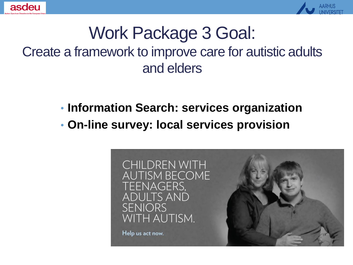



### Work Package 3 Goal: Create a framework to improve care for autistic adults and elders

- **Information Search: services organization**
- **On-line survey: local services provision**

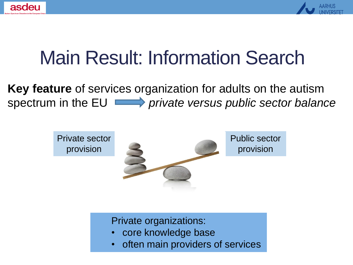



# Main Result: Information Search

**Key feature** of services organization for adults on the autism spectrum in the EU **private versus public sector balance** 



Private organizations:

- core knowledge base
- often main providers of services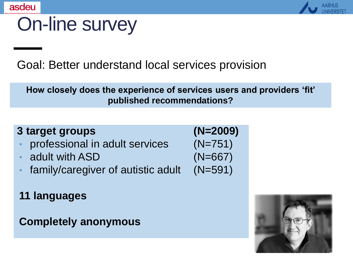



## On-line survey

Goal: Better understand local services provision

**How closely does the experience of services users and providers 'fit' published recommendations?**

#### **3 target groups**

- professional in adult services
- adult with ASD
- family/caregiver of autistic adult
- **11 languages**

**Completely anonymous**

$$
(\mathsf{N}=2009)\\(\mathsf{N}=751)\\(\mathsf{N}=667)\\(\mathsf{N}=591)
$$

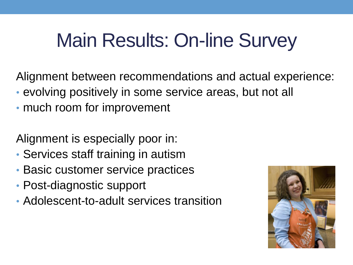# Main Results: On-line Survey

Alignment between recommendations and actual experience:

- evolving positively in some service areas, but not all
- much room for improvement

Alignment is especially poor in:

- Services staff training in autism
- Basic customer service practices
- Post-diagnostic support
- Adolescent-to-adult services transition

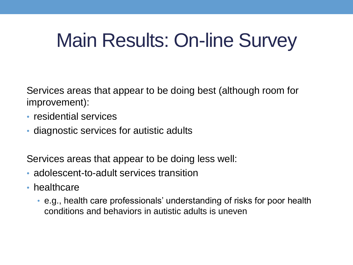# Main Results: On-line Survey

Services areas that appear to be doing best (although room for improvement):

- residential services
- diagnostic services for autistic adults

Services areas that appear to be doing less well:

- adolescent-to-adult services transition
- healthcare
	- e.g., health care professionals' understanding of risks for poor health conditions and behaviors in autistic adults is uneven